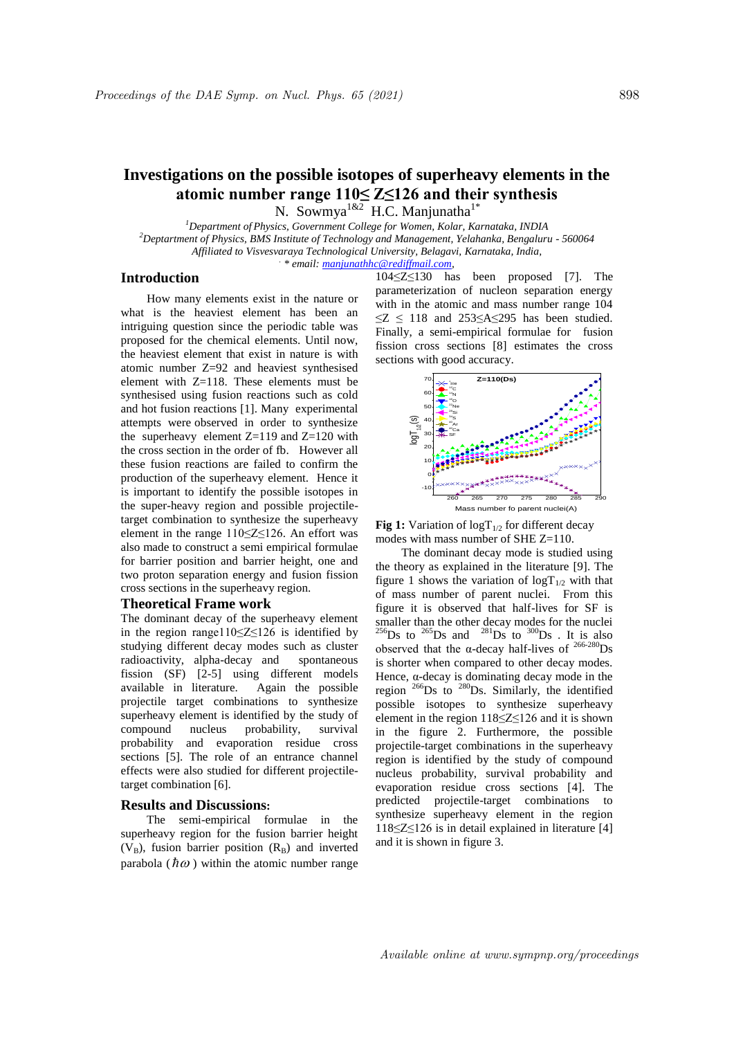*.*

# **Investigations on the possible isotopes of superheavy elements in the atomic number range 110≤ Z≤126 and their synthesis** N. Sowmya<sup>1&2</sup> H.C. Manjunatha<sup>1\*</sup>

*<sup>1</sup>Department of Physics, Government College for Women, Kolar, Karnataka, INDIA <sup>2</sup>Deptartment of Physics, BMS Institute of Technology and Management, Yelahanka, Bengaluru - 560064* 

*Affiliated to Visvesvaraya Technological University, Belagavi, Karnataka, India,*

*\* email: manjunathhc@rediffmail.com,* 

### **Introduction**

How many elements exist in the nature or what is the heaviest element has been an intriguing question since the periodic table was proposed for the chemical elements. Until now, the heaviest element that exist in nature is with atomic number Z=92 and heaviest synthesised element with Z=118. These elements must be synthesised using fusion reactions such as cold and hot fusion reactions [1]. Many experimental attempts were observed in order to synthesize the superheavy element  $Z=119$  and  $Z=120$  with the cross section in the order of fb. However all these fusion reactions are failed to confirm the production of the superheavy element. Hence it is important to identify the possible isotopes in the super-heavy region and possible projectiletarget combination to synthesize the superheavy element in the range 110≤Z≤126. An effort was also made to construct a semi empirical formulae for barrier position and barrier height, one and two proton separation energy and fusion fission cross sections in the superheavy region.

## **Theoretical Frame work**

The dominant decay of the superheavy element in the region range110≤Z≤126 is identified by studying different decay modes such as cluster radioactivity, alpha-decay and spontaneous fission (SF) [2-5] using different models available in literature. Again the possible projectile target combinations to synthesize superheavy element is identified by the study of compound nucleus probability, survival probability and evaporation residue cross sections [5]. The role of an entrance channel effects were also studied for different projectiletarget combination [6].

#### **Results and Discussions:**

The semi-empirical formulae in the superheavy region for the fusion barrier height  $(V_B)$ , fusion barrier position  $(R_B)$  and inverted parabola ( $\hbar \omega$ ) within the atomic number range

104≤Z≤130 has been proposed [7]. The parameterization of nucleon separation energy with in the atomic and mass number range 104  $\leq$ Z  $\leq$  118 and 253 $\leq$ A $\leq$ 295 has been studied. Finally, a semi-empirical formulae for fusion fission cross sections [8] estimates the cross sections with good accuracy.



**Fig 1:** Variation of  $logT_{1/2}$  for different decay modes with mass number of SHE Z=110.

The dominant decay mode is studied using the theory as explained in the literature [9]. The figure 1 shows the variation of  $logT_{1/2}$  with that of mass number of parent nuclei. From this figure it is observed that half-lives for SF is smaller than the other decay modes for the nuclei  $^{256}$ Ds to  $^{265}$ Ds and  $^{281}$ Ds to  $^{300}$ Ds . It is also observed that the  $\alpha$ -decay half-lives of <sup>266-280</sup>Ds is shorter when compared to other decay modes. Hence,  $\alpha$ -decay is dominating decay mode in the region  $^{266}$ Ds to  $^{280}$ Ds. Similarly, the identified possible isotopes to synthesize superheavy element in the region 118≤Z≤126 and it is shown in the figure 2. Furthermore, the possible projectile-target combinations in the superheavy region is identified by the study of compound nucleus probability, survival probability and evaporation residue cross sections [4]. The predicted projectile-target combinations to synthesize superheavy element in the region 118≤Z≤126 is in detail explained in literature [4] and it is shown in figure 3.